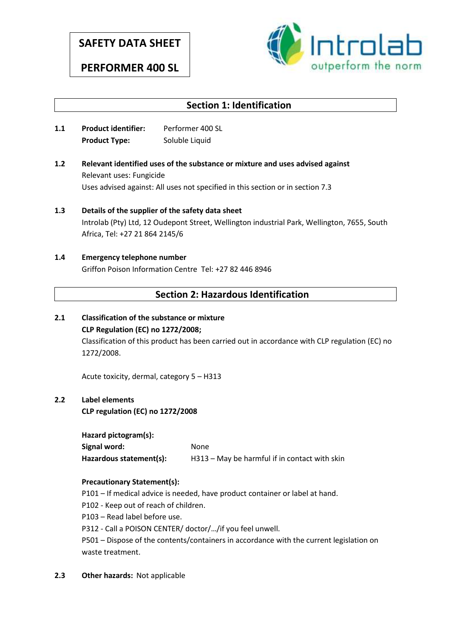# **SAFETY DATA SHEET**

**PERFORMER 400 SL**



## **Section 1: Identification**

- **1.1 Product identifier:** Performer 400 SL **Product Type:** Soluble Liquid
- **1.2 Relevant identified uses of the substance or mixture and uses advised against** Relevant uses: Fungicide Uses advised against: All uses not specified in this section or in section 7.3
- **1.3 Details of the supplier of the safety data sheet** Introlab (Pty) Ltd, 12 Oudepont Street, Wellington industrial Park, Wellington, 7655, South Africa, Tel: +27 21 864 2145/6

## **1.4 Emergency telephone number** Griffon Poison Information Centre Tel: +27 82 446 8946

## **Section 2: Hazardous Identification**

**2.1 Classification of the substance or mixture CLP Regulation (EC) no 1272/2008;** Classification of this product has been carried out in accordance with CLP regulation (EC) no

Acute toxicity, dermal, category 5 – H313

### **2.2 Label elements**

1272/2008.

**CLP regulation (EC) no 1272/2008**

**Hazard pictogram(s):**

Signal word: None **Hazardous statement(s):** H313 – May be harmful if in contact with skin

### **Precautionary Statement(s):**

- P101 If medical advice is needed, have product container or label at hand.
- P102 Keep out of reach of children.
- P103 Read label before use.
- P312 Call a POISON CENTER/ doctor/…/if you feel unwell.

P501 – Dispose of the contents/containers in accordance with the current legislation on waste treatment.

**2.3 Other hazards:** Not applicable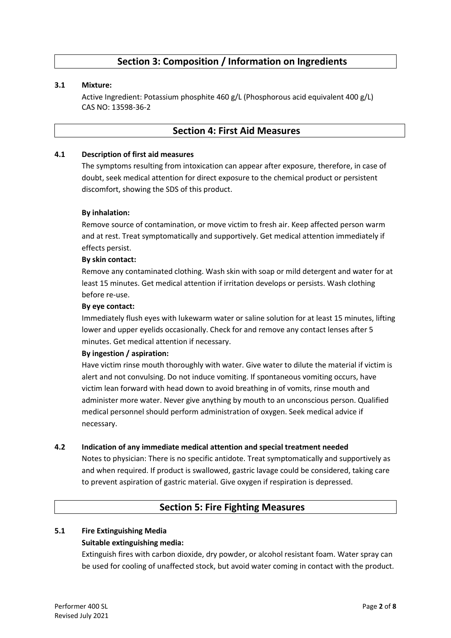## **Section 3: Composition / Information on Ingredients**

#### **3.1 Mixture:**

Active Ingredient: Potassium phosphite 460 g/L (Phosphorous acid equivalent 400 g/L) CAS NO: 13598-36-2

### **Section 4: First Aid Measures**

#### **4.1 Description of first aid measures**

The symptoms resulting from intoxication can appear after exposure, therefore, in case of doubt, seek medical attention for direct exposure to the chemical product or persistent discomfort, showing the SDS of this product.

#### **By inhalation:**

Remove source of contamination, or move victim to fresh air. Keep affected person warm and at rest. Treat symptomatically and supportively. Get medical attention immediately if effects persist.

#### **By skin contact:**

Remove any contaminated clothing. Wash skin with soap or mild detergent and water for at least 15 minutes. Get medical attention if irritation develops or persists. Wash clothing before re-use.

#### **By eye contact:**

Immediately flush eyes with lukewarm water or saline solution for at least 15 minutes, lifting lower and upper eyelids occasionally. Check for and remove any contact lenses after 5 minutes. Get medical attention if necessary.

#### **By ingestion / aspiration:**

Have victim rinse mouth thoroughly with water. Give water to dilute the material if victim is alert and not convulsing. Do not induce vomiting. If spontaneous vomiting occurs, have victim lean forward with head down to avoid breathing in of vomits, rinse mouth and administer more water. Never give anything by mouth to an unconscious person. Qualified medical personnel should perform administration of oxygen. Seek medical advice if necessary.

#### **4.2 Indication of any immediate medical attention and special treatment needed**

Notes to physician: There is no specific antidote. Treat symptomatically and supportively as and when required. If product is swallowed, gastric lavage could be considered, taking care to prevent aspiration of gastric material. Give oxygen if respiration is depressed.

### **Section 5: Fire Fighting Measures**

#### **5.1 Fire Extinguishing Media**

#### **Suitable extinguishing media:**

Extinguish fires with carbon dioxide, dry powder, or alcohol resistant foam. Water spray can be used for cooling of unaffected stock, but avoid water coming in contact with the product.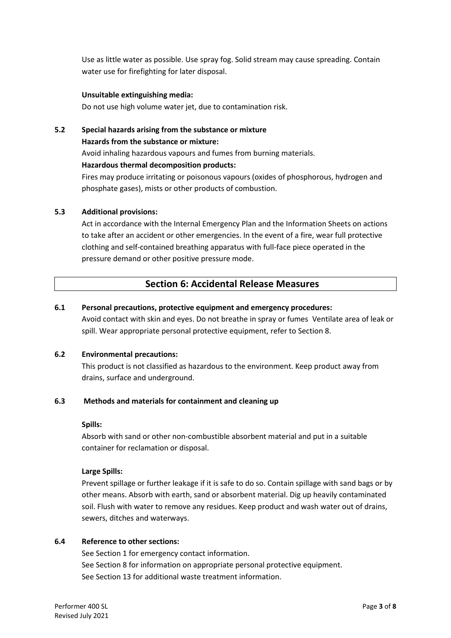Use as little water as possible. Use spray fog. Solid stream may cause spreading. Contain water use for firefighting for later disposal.

#### **Unsuitable extinguishing media:**

Do not use high volume water jet, due to contamination risk.

## **5.2 Special hazards arising from the substance or mixture Hazards from the substance or mixture:** Avoid inhaling hazardous vapours and fumes from burning materials. **Hazardous thermal decomposition products:** Fires may produce irritating or poisonous vapours (oxides of phosphorous, hydrogen and phosphate gases), mists or other products of combustion.

### **5.3 Additional provisions:**

Act in accordance with the Internal Emergency Plan and the Information Sheets on actions to take after an accident or other emergencies. In the event of a fire, wear full protective clothing and self-contained breathing apparatus with full-face piece operated in the pressure demand or other positive pressure mode.

## **Section 6: Accidental Release Measures**

#### **6.1 Personal precautions, protective equipment and emergency procedures:**

Avoid contact with skin and eyes. Do not breathe in spray or fumes Ventilate area of leak or spill. Wear appropriate personal protective equipment, refer to Section 8.

#### **6.2 Environmental precautions:**

This product is not classified as hazardous to the environment. Keep product away from drains, surface and underground.

#### **6.3 Methods and materials for containment and cleaning up**

#### **Spills:**

Absorb with sand or other non-combustible absorbent material and put in a suitable container for reclamation or disposal.

#### **Large Spills:**

Prevent spillage or further leakage if it is safe to do so. Contain spillage with sand bags or by other means. Absorb with earth, sand or absorbent material. Dig up heavily contaminated soil. Flush with water to remove any residues. Keep product and wash water out of drains, sewers, ditches and waterways.

#### **6.4 Reference to other sections:**

See Section 1 for emergency contact information. See Section 8 for information on appropriate personal protective equipment. See Section 13 for additional waste treatment information.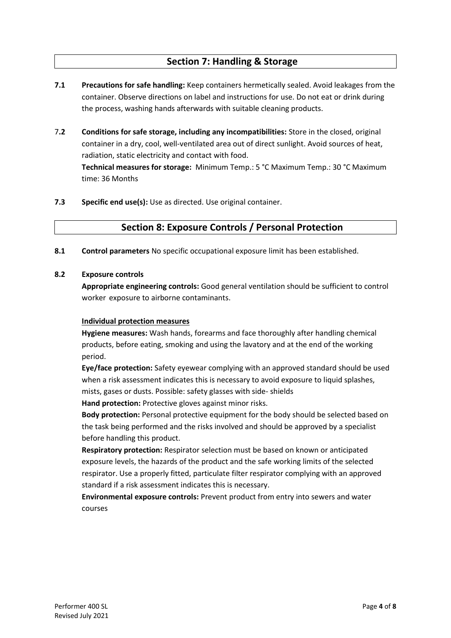## **Section 7: Handling & Storage**

- **7.1 Precautions for safe handling:** Keep containers hermetically sealed. Avoid leakages from the container. Observe directions on label and instructions for use. Do not eat or drink during the process, washing hands afterwards with suitable cleaning products.
- 7**.2 Conditions for safe storage, including any incompatibilities:** Store in the closed, original container in a dry, cool, well-ventilated area out of direct sunlight. Avoid sources of heat, radiation, static electricity and contact with food.

**Technical measures for storage:** Minimum Temp.: 5 °C Maximum Temp.: 30 °C Maximum time: 36 Months

**7.3 Specific end use(s):** Use as directed. Use original container.

## **Section 8: Exposure Controls / Personal Protection**

**8.1 Control parameters** No specific occupational exposure limit has been established.

#### **8.2 Exposure controls**

**Appropriate engineering controls:** Good general ventilation should be sufficient to control worker exposure to airborne contaminants.

### **Individual protection measures**

**Hygiene measures:** Wash hands, forearms and face thoroughly after handling chemical products, before eating, smoking and using the lavatory and at the end of the working period.

**Eye/face protection:** Safety eyewear complying with an approved standard should be used when a risk assessment indicates this is necessary to avoid exposure to liquid splashes, mists, gases or dusts. Possible: safety glasses with side- shields

**Hand protection:** Protective gloves against minor risks.

**Body protection:** Personal protective equipment for the body should be selected based on the task being performed and the risks involved and should be approved by a specialist before handling this product.

**Respiratory protection:** Respirator selection must be based on known or anticipated exposure levels, the hazards of the product and the safe working limits of the selected respirator. Use a properly fitted, particulate filter respirator complying with an approved standard if a risk assessment indicates this is necessary.

**Environmental exposure controls:** Prevent product from entry into sewers and water courses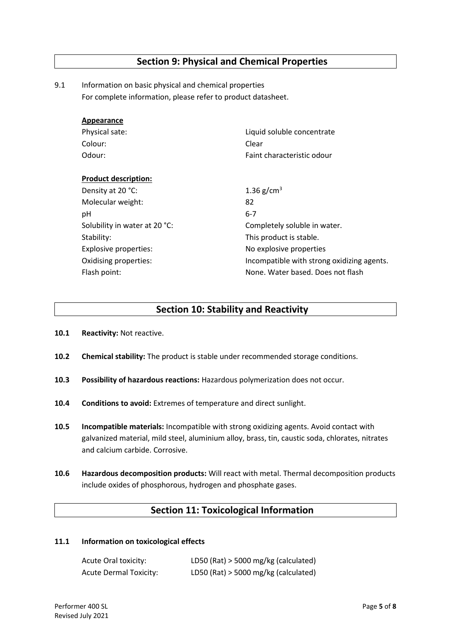## **Section 9: Physical and Chemical Properties**

9.1 Information on basic physical and chemical properties For complete information, please refer to product datasheet.

| Appearance                    |                                            |  |
|-------------------------------|--------------------------------------------|--|
| Physical sate:                | Liquid soluble concentrate                 |  |
| Colour:                       | Clear                                      |  |
| Odour:                        | Faint characteristic odour                 |  |
|                               |                                            |  |
| <b>Product description:</b>   |                                            |  |
| Density at 20 °C:             | 1.36 $g/cm^{3}$                            |  |
| Molecular weight:             | 82                                         |  |
| рH                            | $6 - 7$                                    |  |
| Solubility in water at 20 °C: | Completely soluble in water.               |  |
| Stability:                    | This product is stable.                    |  |
| Explosive properties:         | No explosive properties                    |  |
| Oxidising properties:         | Incompatible with strong oxidizing agents. |  |
| Flash point:                  | None. Water based. Does not flash          |  |
|                               |                                            |  |

### **Section 10: Stability and Reactivity**

- **10.1 Reactivity:** Not reactive.
- **10.2 Chemical stability:** The product is stable under recommended storage conditions.
- **10.3 Possibility of hazardous reactions:** Hazardous polymerization does not occur.
- **10.4 Conditions to avoid:** Extremes of temperature and direct sunlight.
- **10.5 Incompatible materials:** Incompatible with strong oxidizing agents. Avoid contact with galvanized material, mild steel, aluminium alloy, brass, tin, caustic soda, chlorates, nitrates and calcium carbide. Corrosive.
- **10.6 Hazardous decomposition products:** Will react with metal. Thermal decomposition products include oxides of phosphorous, hydrogen and phosphate gases.

### **Section 11: Toxicological Information**

#### **11.1 Information on toxicological effects**

| Acute Oral toxicity:   | LD50 (Rat) $>$ 5000 mg/kg (calculated) |
|------------------------|----------------------------------------|
| Acute Dermal Toxicity: | LD50 (Rat) > 5000 mg/kg (calculated)   |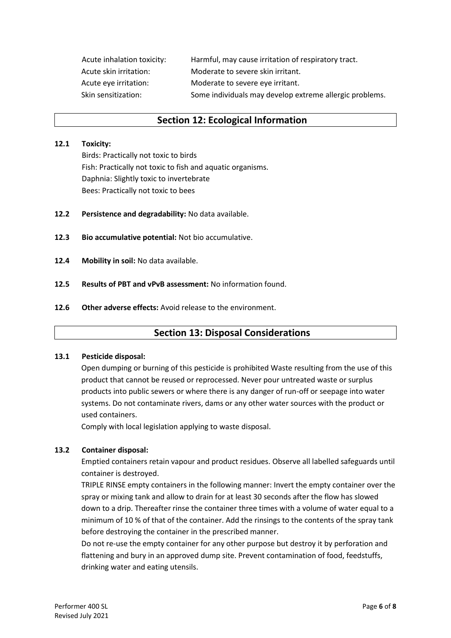Acute inhalation toxicity: Harmful, may cause irritation of respiratory tract. Acute skin irritation: Moderate to severe skin irritant. Acute eye irritation: Moderate to severe eye irritant. Skin sensitization: Some individuals may develop extreme allergic problems.

### **Section 12: Ecological Information**

#### **12.1 Toxicity:**

Birds: Practically not toxic to birds Fish: Practically not toxic to fish and aquatic organisms. Daphnia: Slightly toxic to invertebrate Bees: Practically not toxic to bees

- **12.2 Persistence and degradability:** No data available.
- **12.3 Bio accumulative potential:** Not bio accumulative.
- **12.4 Mobility in soil:** No data available.
- **12.5 Results of PBT and vPvB assessment:** No information found.
- **12.6 Other adverse effects:** Avoid release to the environment.

## **Section 13: Disposal Considerations**

#### **13.1 Pesticide disposal:**

Open dumping or burning of this pesticide is prohibited Waste resulting from the use of this product that cannot be reused or reprocessed. Never pour untreated waste or surplus products into public sewers or where there is any danger of run-off or seepage into water systems. Do not contaminate rivers, dams or any other water sources with the product or used containers.

Comply with local legislation applying to waste disposal.

#### **13.2 Container disposal:**

Emptied containers retain vapour and product residues. Observe all labelled safeguards until container is destroyed.

TRIPLE RINSE empty containers in the following manner: Invert the empty container over the spray or mixing tank and allow to drain for at least 30 seconds after the flow has slowed down to a drip. Thereafter rinse the container three times with a volume of water equal to a minimum of 10 % of that of the container. Add the rinsings to the contents of the spray tank before destroying the container in the prescribed manner.

Do not re-use the empty container for any other purpose but destroy it by perforation and flattening and bury in an approved dump site. Prevent contamination of food, feedstuffs, drinking water and eating utensils.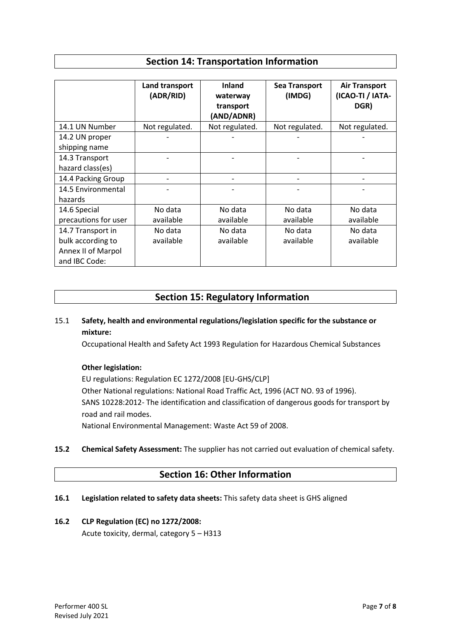## **Section 14: Transportation Information**

|                      | Land transport<br>(ADR/RID) | <b>Inland</b><br>waterway<br>transport<br>(AND/ADNR) | <b>Sea Transport</b><br>(IMDG) | <b>Air Transport</b><br>(ICAO-TI / IATA-<br>DGR) |
|----------------------|-----------------------------|------------------------------------------------------|--------------------------------|--------------------------------------------------|
| 14.1 UN Number       | Not regulated.              | Not regulated.                                       | Not regulated.                 | Not regulated.                                   |
| 14.2 UN proper       |                             |                                                      |                                |                                                  |
| shipping name        |                             |                                                      |                                |                                                  |
| 14.3 Transport       |                             |                                                      |                                |                                                  |
| hazard class(es)     |                             |                                                      |                                |                                                  |
| 14.4 Packing Group   |                             |                                                      |                                |                                                  |
| 14.5 Environmental   |                             |                                                      |                                |                                                  |
| hazards              |                             |                                                      |                                |                                                  |
| 14.6 Special         | No data                     | No data                                              | No data                        | No data                                          |
| precautions for user | available                   | available                                            | available                      | available                                        |
| 14.7 Transport in    | No data                     | No data                                              | No data                        | No data                                          |
| bulk according to    | available                   | available                                            | available                      | available                                        |
| Annex II of Marpol   |                             |                                                      |                                |                                                  |
| and IBC Code:        |                             |                                                      |                                |                                                  |

## **Section 15: Regulatory Information**

## 15.1 **Safety, health and environmental regulations/legislation specific for the substance or mixture:**

Occupational Health and Safety Act 1993 Regulation for Hazardous Chemical Substances

### **Other legislation:**

EU regulations: Regulation EC 1272/2008 [EU-GHS/CLP] Other National regulations: National Road Traffic Act, 1996 (ACT NO. 93 of 1996). SANS 10228:2012- The identification and classification of dangerous goods for transport by road and rail modes. National Environmental Management: Waste Act 59 of 2008.

**15.2 Chemical Safety Assessment:** The supplier has not carried out evaluation of chemical safety.

## **Section 16: Other Information**

### **16.1 Legislation related to safety data sheets:** This safety data sheet is GHS aligned

### **16.2 CLP Regulation (EC) no 1272/2008:**

Acute toxicity, dermal, category 5 – H313